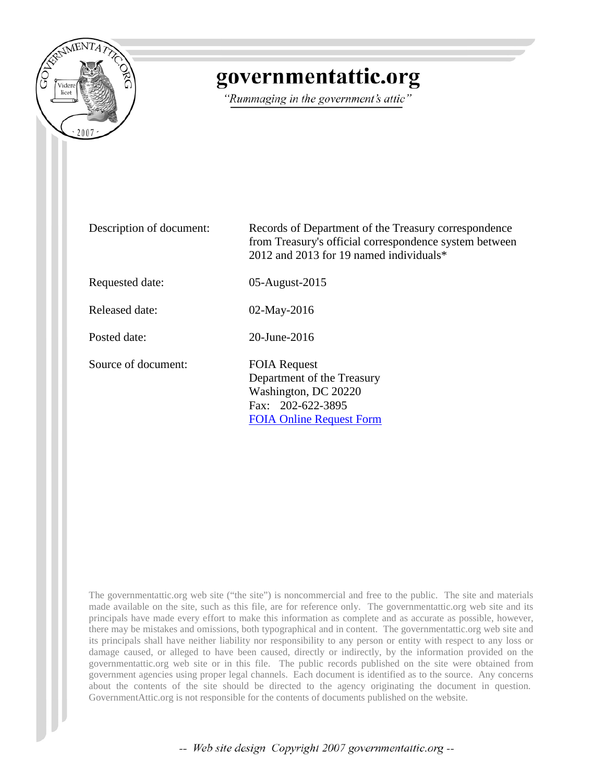

## governmentattic.org

"Rummaging in the government's attic"

| Description of document: | Records of Department of the Treasury correspondence<br>from Treasury's official correspondence system between<br>2012 and 2013 for 19 named individuals* |
|--------------------------|-----------------------------------------------------------------------------------------------------------------------------------------------------------|
| Requested date:          | 05-August-2015                                                                                                                                            |
| Released date:           | $02$ -May-2016                                                                                                                                            |
| Posted date:             | 20-June-2016                                                                                                                                              |
| Source of document:      | <b>FOIA Request</b><br>Department of the Treasury<br>Washington, DC 20220<br>Fax: 202-622-3895<br><b>FOIA Online Request Form</b>                         |

The governmentattic.org web site ("the site") is noncommercial and free to the public. The site and materials made available on the site, such as this file, are for reference only. The governmentattic.org web site and its principals have made every effort to make this information as complete and as accurate as possible, however, there may be mistakes and omissions, both typographical and in content. The governmentattic.org web site and its principals shall have neither liability nor responsibility to any person or entity with respect to any loss or damage caused, or alleged to have been caused, directly or indirectly, by the information provided on the governmentattic.org web site or in this file. The public records published on the site were obtained from government agencies using proper legal channels. Each document is identified as to the source. Any concerns about the contents of the site should be directed to the agency originating the document in question. GovernmentAttic.org is not responsible for the contents of documents published on the website.

-- Web site design Copyright 2007 governmentattic.org --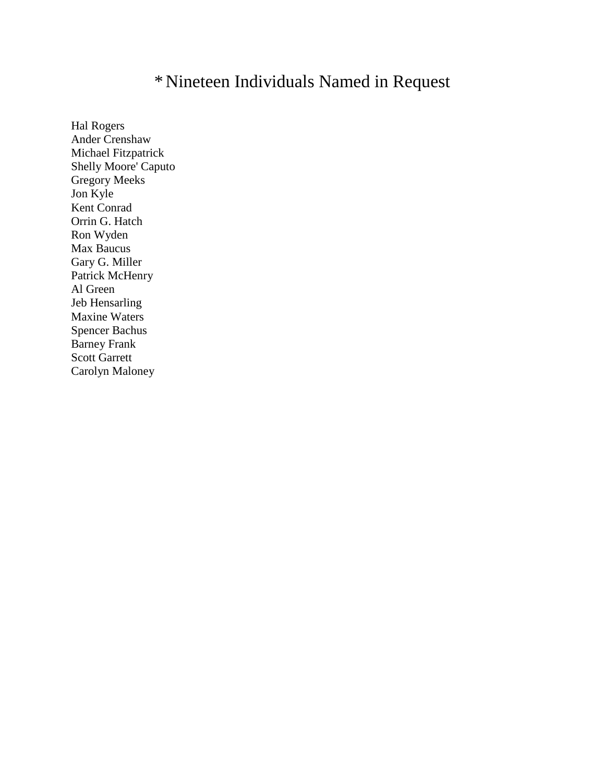## \*Nineteen Individuals Named in Request

Hal Rogers Ander Crenshaw Michael Fitzpatrick Shelly Moore' Caputo Gregory Meeks Jon Kyle Kent Conrad Orrin G. Hatch Ron Wyden Max Baucus Gary G. Miller Patrick McHenry Al Green Jeb Hensarling Maxine Waters Spencer Bachus Barney Frank Scott Garrett Carolyn Maloney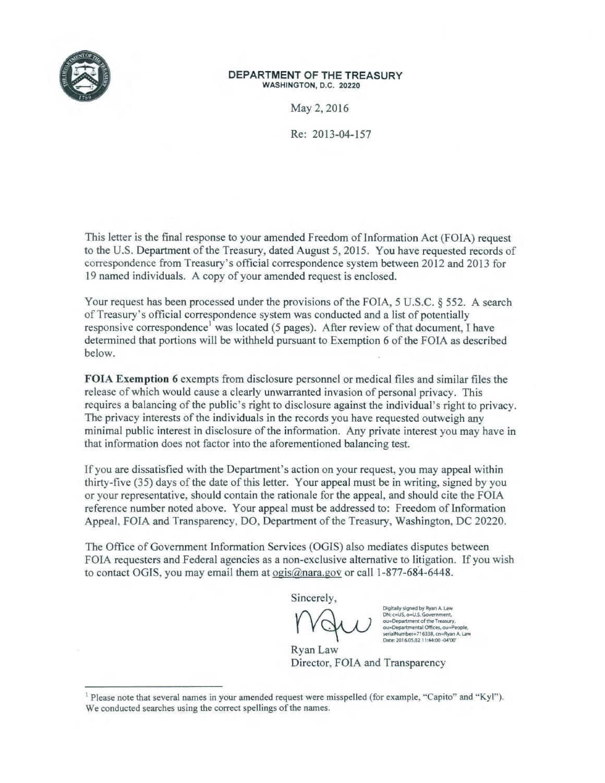

## DEPARTMENT OF THE TREASURY WASHINGTON, D.C. 20220

May 2, 2016

Re: 2013-04-157

This letter is the final response to your amended Freedom of Information Act (FOIA) request to the U.S. Department of the Treasury, dated August 5, 2015. You have requested records of correspondence from Treasury's official correspondence system between 2012 and 2013 for 19 named individuals. A copy of your amended request is enclosed.

Your request has been processed under the provisions of the FOIA, 5 U.S.C. § 552. A search of Treasury's official correspondence system was conducted and a list of potentially responsive correspondence<sup>1</sup> was located (5 pages). After review of that document, I have determined that portions will be withheld pursuant to Exemption 6 of the FOIA as described below.

FOIA Exemption 6 exempts from disclosure personnel or medical files and similar files the release of which would cause a clearly unwarranted invasion of personal privacy. This requires a balancing of the public's right to disclosure against the individual's right to privacy. The privacy interests of the individuals in the records you have requested outweigh any minimal public interest in disclosure of the information. Any private interest you may have in that information does not factor into the aforementioned balancing test.

If you are dissatisfied with the Department's action on your request, you may appeal within thirty-five (35) days of the date of this letter. Your appeal must be in writing, signed by you or your representative, should contain the rationale for the appeal, and should cite the FOIA reference number noted above. Your appeal must be addressed to: Freedom of Information Appeal, FOIA and Transparency, DO, Department of the Treasury, Washington, DC 20220.

The Office of Government Information Services (OGIS) also mediates disputes between FOIA requesters and Federal agencies as a non-exclusive alternative to litigation. If you wish to contact OGIS, you may email them at ogis@nara.gov or call 1-877-684-6448.

Sincerely,

Digitally signed by Ryan A. Law ON: c=US, o=U.S. Government, ou=Oepartment of the Treasury, ou=Departmental Offices, ou=People, serialNumber=716338, cn=Ryan A. Law Date: 2016.05.02 11:44:00 -04'00

Ryan Law Director, FOIA and Transparency

 $1$  Please note that several names in your amended request were misspelled (for example, "Capito" and "Kyl"). We conducted searches using the correct spellings of the names.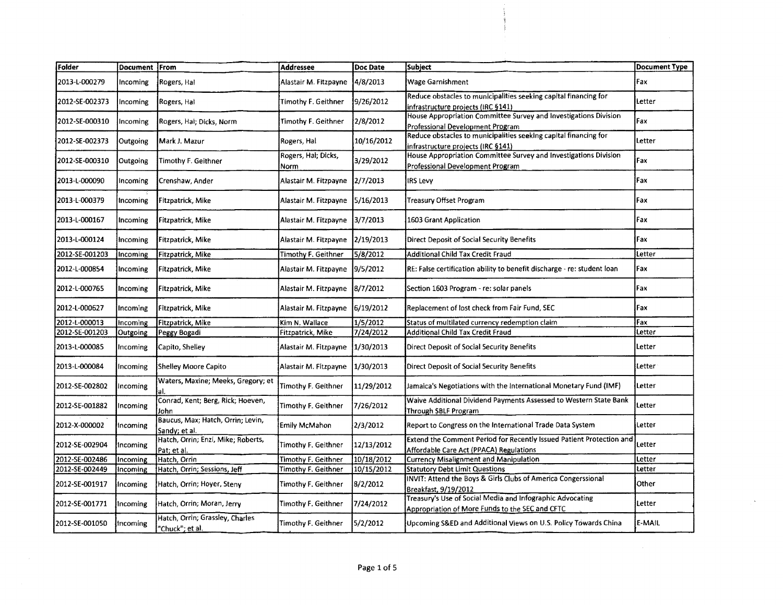| Folder         | Document From |                                                    | <b>Addressee</b>            | Doc Date   | Subject                                                                                                         | Document Type |
|----------------|---------------|----------------------------------------------------|-----------------------------|------------|-----------------------------------------------------------------------------------------------------------------|---------------|
| 2013-L-000279  | Incoming      | Rogers, Hal                                        | Alastair M. Fitzpayne       | 4/8/2013   | Wage Garnishment                                                                                                | Fax           |
| 2012-SE-002373 | Incoming      | Rogers, Hal                                        | Timothy F. Geithner         | 9/26/2012  | Reduce obstacles to municipalities seeking capital financing for<br>infrastructure projects (IRC §141)          | Letter        |
| 2012-SE-000310 | Incoming      | Rogers, Hal; Dicks, Norm                           | Timothy F. Geithner         | 2/8/2012   | House Appropriation Committee Survey and Investigations Division<br>Professional Development Program            | Fax           |
| 2012-SE-002373 | Outgoing      | Mark J. Mazur                                      | Rogers, Hal                 | 10/16/2012 | Reduce obstacles to municipalities seeking capital financing for<br>infrastructure projects (IRC §141)          | Letter        |
| 2012-SE-000310 | Outgoing      | Timothy F. Geithner                                | Rogers, Hal; Dicks,<br>Norm | 3/29/2012  | House Appropriation Committee Survey and Investigations Division<br>Professional Development Program            | Fax           |
| 2013-L-000090  | Incoming      | Crenshaw, Ander                                    | Alastair M. Fitzpayne       | 2/7/2013   | IRS Levy                                                                                                        | Fax           |
| 2013-L-000379  | Incoming      | Fitzpatrick, Mike                                  | Alastair M. Fitzpayne       | 5/16/2013  | Treasury Offset Program                                                                                         | Fax           |
| 2013-L-000167  | Incoming      | Fitzpatrick, Mike                                  | Alastair M. Fitzpayne       | 3/7/2013   | 1603 Grant Application                                                                                          | Fax           |
| 2013-L-000124  | Incoming      | Fitzpatrick, Mike                                  | Alastair M. Fitzpayne       | 2/19/2013  | Direct Deposit of Social Security Benefits                                                                      | <b>Fax</b>    |
| 2012-SE-001203 | Incoming      | Fitzpatrick, Mike                                  | Timothy F. Geithner         | 5/8/2012   | Additional Child Tax Credit Fraud                                                                               | Letter        |
| 2012-L-000854  | Incoming      | Fitzpatrick, Mike                                  | Alastair M. Fitzpayne       | 9/5/2012   | RE: False certification ability to benefit discharge - re: student loan                                         | Fax           |
| 2012-L-000765  | Incoming      | Fitzpatrick, Mike                                  | Alastair M. Fitzpayne       | 8/7/2012   | Section 1603 Program - re: solar panels                                                                         | Fax           |
| 2012-L-000627  | Incoming      | Fitzpatrick, Mike                                  | Alastair M. Fitzpayne       | 6/19/2012  | Replacement of lost check from Fair Fund, SEC                                                                   | Fax           |
| 2012-L-000013  | Incoming      | Fitzpatrick, Mike                                  | Kim N. Wallace              | 1/5/2012   | Status of multilated currency redemption claim                                                                  | Fax           |
| 2012-SE-001203 | Outgoing      | Peggy Bogadi                                       | Fitzpatrick, Mike           | 7/24/2012  | Additional Child Tax Credit Fraud                                                                               | Letter        |
| 2013-L-000085  | Incoming      | Capito, Shelley                                    | Alastair M. Fitzpayne       | 1/30/2013  | Direct Deposit of Social Security Benefits                                                                      | Letter        |
| 2013-L-000084  | Incoming      | Shelley Moore Capito                               | Alastair M. Fitzpayne       | 1/30/2013  | <b>Direct Deposit of Social Security Benefits</b>                                                               | Letter        |
| 2012-SE-002802 | Incoming      | Waters, Maxine; Meeks, Gregory; et                 | Timothy F. Geithner         | 11/29/2012 | Jamaica's Negotiations with the International Monetary Fund (IMF)                                               | Letter        |
| 2012-SE-001882 | Incoming      | Conrad, Kent; Berg, Rick; Hoeven,<br>John          | Timothy F. Geithner         | 7/26/2012  | Waive Additional Dividend Payments Assessed to Western State Bank<br><b>Through SBLF Program</b>                | Letter        |
| 2012-X-000002  | Incoming      | Baucus, Max; Hatch, Orrin; Levin,<br>Sandy; et al. | Emily McMahon               | 2/3/2012   | Report to Congress on the International Trade Data System                                                       | Letter        |
| 2012-SE-002904 | Incoming      | Hatch, Orrin; Enzi, Mike; Roberts,<br>Pat; et al.  | Timothy F. Geithner         | 12/13/2012 | Extend the Comment Period for Recently Issued Patient Protection and<br>Affordable Care Act (PPACA) Regulations | Letter        |
| 2012-SE-002486 | Incoming      | Hatch, Orrin                                       | Timothy F. Geithner         | 10/18/2012 | <b>Currency Misalignment and Manipulation</b>                                                                   | Letter        |
| 2012-SE-002449 | Incoming      | Hatch, Orrin; Sessions, Jeff                       | Timothy F. Geithner         | 10/15/2012 | <b>Statutory Debt Limit Questions</b>                                                                           | Letter        |
| 2012-SE-001917 | Incoming      | Hatch, Orrin; Hoyer, Steny                         | Timothy F. Geithner         | 8/2/2012   | INVIT: Attend the Boys & Girls Clubs of America Congerssional<br>Breakfast, 9/19/2012                           | Other         |
| 2012-SE-001771 | Incoming      | Hatch, Orrin; Moran, Jerry                         | Timothy F. Geithner         | 7/24/2012  | Treasury's Use of Social Media and Infographic Advocating<br>Appropriation of More Funds to the SEC and CFTC    | Letter        |
| 2012-SE-001050 | Incoming      | Hatch, Orrin; Grassley, Charles<br>"Chuck"; et al. | Timothy F. Geithner         | 5/2/2012   | Upcoming S&ED and Additional Views on U.S. Policy Towards China                                                 | E-MAIL        |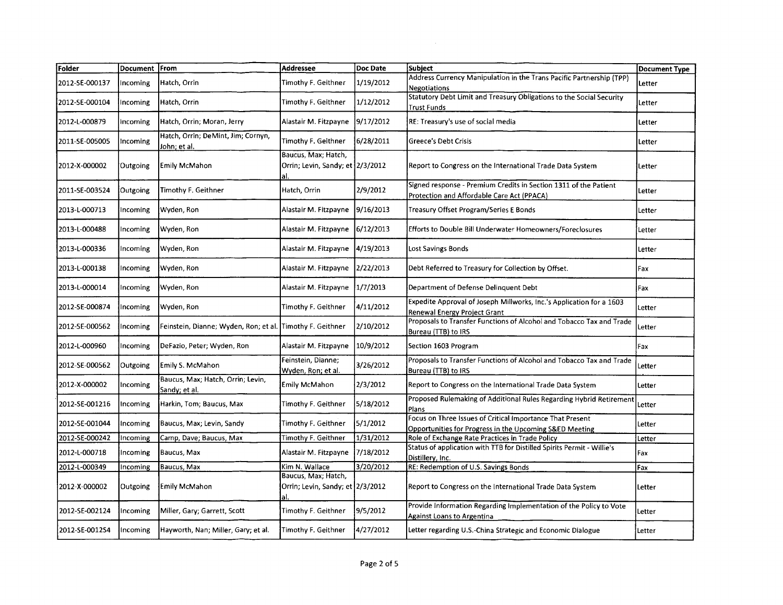| Folder         | Document From |                                                    | Addressee                                               | Doc Date  | <b>Subject</b>                                                                                                       | <b>Document Type</b> |
|----------------|---------------|----------------------------------------------------|---------------------------------------------------------|-----------|----------------------------------------------------------------------------------------------------------------------|----------------------|
| 2012-SE-000137 | Incoming      | Hatch, Orrin                                       | Timothy F. Geithner                                     | 1/19/2012 | Address Currency Manipulation in the Trans Pacific Partnership (TPP)<br><b>Negotiations</b>                          | Letter               |
| 2012-SE-000104 | Incoming      | Hatch, Orrin                                       | Timothy F. Geithner                                     | 1/12/2012 | Statutory Debt Limit and Treasury Obligations to the Social Security<br>Trust Funds                                  | Letter               |
| 2012-L-000879  | incoming      | Hatch, Orrin; Moran, Jerry                         | Alastair M. Fitzpayne                                   | 9/17/2012 | RE: Treasury's use of social media                                                                                   | Letter               |
| 2011-SE-005005 | Incoming      | Hatch, Orrin; DeMint, Jim; Cornyn,<br>John, et al. | Timothy F. Geithner                                     | 6/28/2011 | Greece's Debt Crisis                                                                                                 | Letter               |
| 2012-X-000002  | Outgoing      | Emily McMahon                                      | Baucus, Max; Hatch,<br>Orrin; Levin, Sandy; et 2/3/2012 |           | Report to Congress on the International Trade Data System                                                            | Letter               |
| 2011-SE-003524 | Outgoing      | Timothy F. Geithner                                | Hatch, Orrin                                            | 2/9/2012  | Signed response - Premium Credits in Section 1311 of the Patient<br>Protection and Affordable Care Act (PPACA)       | Letter               |
| 2013-L-000713  | Incoming      | Wyden, Ron                                         | Alastair M. Fitzpayne                                   | 9/16/2013 | Treasury Offset Program/Series E Bonds                                                                               | Letter               |
| 2013-L-000488  | Incoming      | Wyden, Ron                                         | Alastair M. Fitzpayne                                   | 6/12/2013 | Efforts to Double Bill Underwater Homeowners/Foreclosures                                                            | Letter               |
| 2013-L-000336  | Incoming      | Wyden, Ron                                         | Alastair M. Fitzpayne                                   | 4/19/2013 | Lost Savings Bonds                                                                                                   | Letter               |
| 2013-L-000138  | Incoming      | Wyden, Ron                                         | Alastair M. Fitzpayne                                   | 2/22/2013 | Debt Referred to Treasury for Collection by Offset.                                                                  | Fax                  |
| 2013-L-000014  | Incoming      | Wyden, Ron                                         | Alastair M. Fitzpayne                                   | 1/7/2013  | Department of Defense Delinquent Debt                                                                                | Fax                  |
| 2012-SE-000874 | Incoming      | Wyden, Ron                                         | Timothy F. Geithner                                     | 4/11/2012 | Expedite Approval of Joseph Millworks, Inc.'s Application for a 1603<br>Renewal Energy Project Grant                 | Letter               |
| 2012-SE-000562 | Incoming      | Feinstein, Dianne; Wyden, Ron; et al.              | Timothy F. Geithner                                     | 2/10/2012 | Proposals to Transfer Functions of Alcohol and Tobacco Tax and Trade<br>Bureau (TTB) to IRS                          | Letter               |
| 2012-L-000960  | Incoming      | DeFazio, Peter; Wyden, Ron                         | Alastair M. Fitzpayne                                   | 10/9/2012 | Section 1603 Program                                                                                                 | Fax                  |
| 2012-SE-000562 | Outgoing      | Emily S. McMahon                                   | Feinstein, Dianne;<br>Wyden, Ron; et al.                | 3/26/2012 | Proposals to Transfer Functions of Alcohol and Tobacco Tax and Trade<br>Bureau (TTB) to IRS                          | Letter               |
| 2012-X-000002  | Incoming      | Baucus, Max; Hatch, Orrin; Levin,<br>Sandy; et al. | Emily McMahon                                           | 2/3/2012  | Report to Congress on the International Trade Data System                                                            | Letter               |
| 2012-SE-001216 | Incoming      | Harkin, Tom; Baucus, Max                           | Timothy F. Geithner                                     | 5/18/2012 | Proposed Rulemaking of Additional Rules Regarding Hybrid Retirement<br>Plans                                         | Letter               |
| 2012-SE-001044 | Incoming      | Baucus, Max; Levin, Sandy                          | Timothy F. Geithner                                     | 5/1/2012  | Focus on Three Issues of Critical Importance That Present<br>Opportunities for Progress in the Upcoming S&ED Meeting | Letter               |
| 2012-SE-000242 | Incoming      | Camp, Dave; Baucus, Max                            | Timothy F. Geithner                                     | 1/31/2012 | Role of Exchange Rate Practices in Trade Policy                                                                      | Letter               |
| 2012-L-000718  | Incoming      | Baucus, Max                                        | Alastair M. Fitzpayne                                   | 7/18/2012 | Status of application with TTB for Distilled Spirits Permit - Willie's<br>Distillery, Inc.                           | Fax                  |
| 2012-L-000349  | Incoming      | Baucus, Max                                        | Kim N. Wallace                                          | 3/20/2012 | RE: Redemption of U.S. Savings Bonds                                                                                 | Fax                  |
| 2012-X-000002  | Outgoing      | Emily McMahon                                      | Baucus, Max; Hatch,<br>Orrin; Levin, Sandy; et 2/3/2012 |           | Report to Congress on the International Trade Data System                                                            | Letter               |
| 2012-SE-002124 | Incoming      | Miller, Gary; Garrett, Scott                       | Timothy F. Geithner                                     | 9/5/2012  | Provide Information Regarding Implementation of the Policy to Vote<br>Against Loans to Argentina                     | Letter               |
| 2012-SE-0012S4 | Incoming      | Hayworth, Nan; Miller, Gary; et al.                | Timothy F. Geithner                                     | 4/27/2012 | Letter regarding U.S.-China Strategic and Economic Dialogue                                                          | Letter               |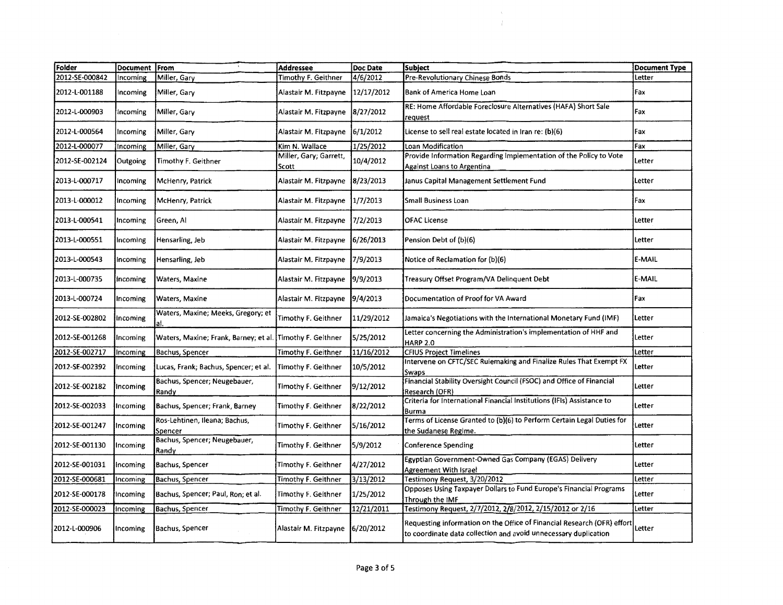| Folder         | Document From |                                                           | <b>Addressee</b>                | Doc Date   | Subject                                                                                                                                    | <b>Document Type</b> |
|----------------|---------------|-----------------------------------------------------------|---------------------------------|------------|--------------------------------------------------------------------------------------------------------------------------------------------|----------------------|
| 2012-SE-000842 | Incoming      | Miller, Gary                                              | Timothy F. Geithner             | 4/6/2012   | Pre-Revolutionary Chinese Bonds                                                                                                            | Letter               |
| 2012-L-001188  | Incoming      | Miller, Gary                                              | Alastair M. Fitzpayne           | 12/17/2012 | Bank of America Home Loan                                                                                                                  | Fax                  |
| 2012-L-000903  | Incoming      | Miller, Gary                                              | Alastair M. Fitzpayne           | 8/27/2012  | RE: Home Affordable Foreclosure Alternatives (HAFA) Short Sale<br>request                                                                  | Fax                  |
| 2012-L-000564  | Incoming      | Miller, Gary                                              | Alastair M. Fitzpayne           | 6/1/2012   | License to sell real estate located in Iran re: (b)(6)                                                                                     | Fax                  |
| 2012-L-000077  | Incoming      | Miller, Gary                                              | Kim N. Wallace                  | 1/25/2012  | Loan Modification                                                                                                                          | Fax                  |
| 2012-SE-002124 | Outgoing      | Timothy F. Geithner                                       | Miller, Gary; Garrett,<br>Scott | 10/4/2012  | Provide Information Regarding Implementation of the Policy to Vote<br>Against Loans to Argentina                                           | Letter               |
| 2013-L-000717  | Incoming      | McHenry, Patrick                                          | Alastair M. Fitzpayne           | 8/23/2013  | Janus Capital Management Settlement Fund                                                                                                   | Letter               |
| 2013-L-000012  | Incoming      | McHenry, Patrick                                          | Alastair M. Fitzpayne           | 1/7/2013   | <b>Small Business Loan</b>                                                                                                                 | Fax                  |
| 2013-L-000541  | Incoming      | Green, Al                                                 | Alastair M. Fitzpayne           | 7/2/2013   | <b>OFAC License</b>                                                                                                                        | Letter               |
| 2013-L-000551  | Incoming      | Hensarling, Jeb                                           | Alastair M. Fitzpayne           | 16/26/2013 | Pension Debt of (b)(6)                                                                                                                     | Letter               |
| 2013-L-000543  | Incoming      | Hensarling, Jeb                                           | Alastair M. Fitzpayne           | 7/9/2013   | Notice of Reclamation for (b)(6)                                                                                                           | E-MAIL               |
| 2013-L-000735  | Incoming      | Waters, Maxine                                            | Alastair M. Fitzpayne           | 9/9/2013   | Treasury Offset Program/VA Delinquent Debt                                                                                                 | E-MAIL               |
| 2013-L-000724  | Incoming      | Waters, Maxine                                            | Alastair M. Fitzpayne           | 9/4/2013   | Documentation of Proof for VA Award                                                                                                        | Fax                  |
| 2012-SE-002802 | Incoming      | Waters, Maxine; Meeks, Gregory; et                        | Timothy F. Geithner             | 11/29/2012 | Jamaica's Negotiations with the International Monetary Fund (IMF)                                                                          | Letter               |
| 2012-SE-001268 | Incoming      | Waters, Maxine; Frank, Barney; et al. Timothy F. Geithner |                                 | 5/25/2012  | Letter concerning the Administration's implementation of HHF and<br><b>HARP 2.0</b>                                                        | Letter               |
| 2012-SE-002717 | Incoming      | Bachus, Spencer                                           | Timothy F. Geithner             | 11/16/2012 | <b>CFIUS Project Timelines</b>                                                                                                             | Letter               |
| 2012-SE-002392 | Incoming      | Lucas, Frank; Bachus, Spencer; et al.                     | Timothy F. Geithner             | 10/5/2012  | Intervene on CFTC/SEC Rulemaking and Finalize Rules That Exempt FX<br>Swaps                                                                | Letter               |
| 2012-SE-002182 | fincoming     | Bachus, Spencer; Neugebauer,<br>Randy                     | Timothy F. Geithner             | 9/12/2012  | Financial Stability Oversight Council (FSOC) and Office of Financial<br>Research (OFR)                                                     | Letter               |
| 2012-SE-002033 | Incoming      | Bachus, Spencer; Frank, Barney                            | Timothy F. Geithner             | 8/22/2012  | Criteria for International Financial Institutions (IFIs) Assistance to<br>Burma                                                            | Letter               |
| 2012-SE-001247 | Incoming      | Ros-Lehtinen, Ileana; Bachus,<br>Spencer                  | Timothy F. Geithner             | 5/16/2012  | Terms of License Granted to (b)(6) to Perform Certain Legal Duties for<br>the Sudanese Regime.                                             | Letter               |
| 2012-SE-001130 | Incoming      | Bachus, Spencer; Neugebauer,<br>Randy                     | Timothy F. Geithner             | 5/9/2012   | Conference Spending                                                                                                                        | Letter               |
| 2012-SE-001031 | Incoming      | Bachus, Spencer                                           | Timothy F. Geithner             | 4/27/2012  | Egyptian Government-Owned Gas Company (EGAS) Delivery<br><b>Agreement With Israel</b>                                                      | Letter               |
| 2012-SE-000681 | Incoming      | Bachus, Spencer                                           | Timothy F. Geithner             | 3/13/2012  | Testimony Request, 3/20/2012                                                                                                               | Letter               |
| 2012-SE-000178 | Incoming      | Bachus, Spencer; Paul, Ron; et al.                        | Timothy F. Geithner             | 1/25/2012  | Opposes Using Taxpayer Dollars to Fund Europe's Financial Programs<br>Through the IMF                                                      | Letter               |
| 2012-SE-000023 | Incoming      | Bachus, Spencer                                           | Timothy F. Geithner             | 12/21/2011 | Testimony Request, 2/7/2012, 2/8/2012, 2/15/2012 or 2/16                                                                                   | Letter               |
| 2012-L-000906  | Incoming      | Bachus, Spencer                                           | Alastair M. Fitzpayne           | 6/20/2012  | Requesting information on the Office of Financial Research (OFR) effort<br>to coordinate data collection and avoid unnecessary duplication | Letter               |

 $\sim$   $\alpha$  .  $\frac{1}{4}$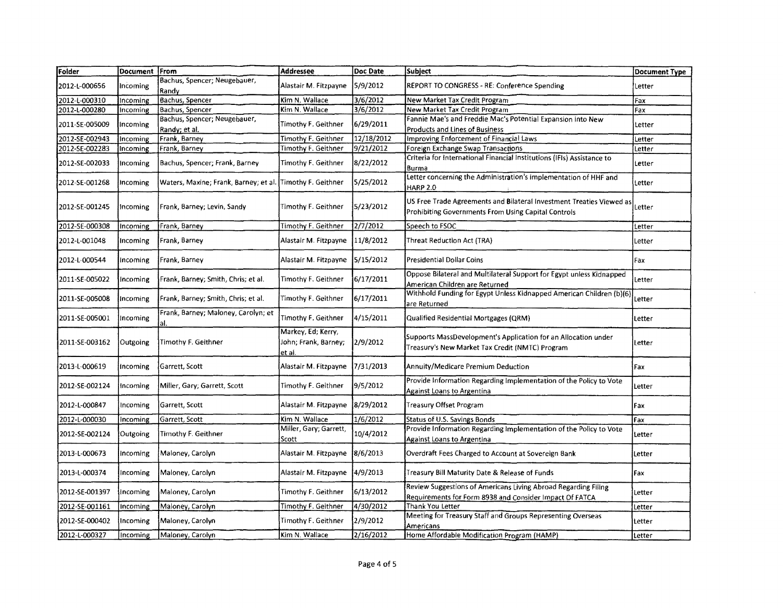| Folder         | Document From |                                       | <b>Addressee</b>                                     | Doc Date          | <b>Subject</b>                                                                                                            | <b>Document Type</b> |
|----------------|---------------|---------------------------------------|------------------------------------------------------|-------------------|---------------------------------------------------------------------------------------------------------------------------|----------------------|
| 2012-1-000656  | Incoming      | Bachus, Spencer; Neugebauer,          | Alastair M. Fitzpayne                                | 5/9/2012          | REPORT TO CONGRESS - RE: Conference Spending                                                                              | Letter               |
| 2012-L-000310  | Incoming      | Randy<br><b>Bachus, Spencer</b>       | Kim N. Wallace                                       | 3/6/2012          | New Market Tax Credit Program                                                                                             | Fax                  |
| 2012-L-000280  | Incoming      | Bachus, Spencer                       | Kim N. Wallace                                       | 3/6/2012          | New Market Tax Credit Program                                                                                             | Fax                  |
|                |               | Bachus, Spencer; Neugebauer,          |                                                      |                   | Fannie Mae's and Freddie Mac's Potential Expansion into New                                                               |                      |
| 2011-SE-005009 | Incoming      | Randy; et al.                         | Timothy F. Geithner                                  | 6/29/2011         | <b>Products and Lines of Business</b>                                                                                     | tetter               |
| 2012-SE-002943 | Incoming      | Frank, Barney                         | Timothy F. Geithner                                  | 12/18/2012        | Improving Enforcement of Financial Laws                                                                                   | Letter               |
| 2012-SE-002283 | Incoming      | Frank, Barney                         | Timothy F. Geithner                                  | 9/21/2012         | Foreign Exchange Swap Transactions                                                                                        | Letter               |
|                |               |                                       |                                                      |                   | Criteria for International Financial Institutions (IFIs) Assistance to                                                    |                      |
| 2012-SE-002033 | Incoming      | Bachus, Spencer; Frank, Barney        | Timothy F. Geithner                                  | 8/22/2012         | Burma                                                                                                                     | Letter               |
| 2012-SE-001268 | Incoming      | Waters, Maxine; Frank, Barney; et al. | Timothy F. Geithner                                  | 5/25/2012         | Letter concerning the Administration's implementation of HHF and<br><b>HARP 2.0</b>                                       | Letter               |
|                |               |                                       |                                                      |                   | US Free Trade Agreements and Bilateral Investment Treaties Viewed as                                                      |                      |
| 2012-SE-001245 | Incoming      | Frank, Barney; Levin, Sandy           | Timothy F. Geithner                                  | 5/23/2012         | Prohibiting Governments From Using Capital Controls                                                                       | Letter               |
| 2012-SE-000308 | Incoming      | Frank, Barney                         | Timothy F. Geithner                                  | $\sqrt{2/7}/2012$ | Speech to FSOC                                                                                                            | Letter               |
| 2012-L-001048  | Incoming      | Frank, Barney                         | Alastair M. Fitzpayne                                | 11/8/2012         | Threat Reduction Act (TRA)                                                                                                | Letter               |
| 2012-L-000544  | Incoming      | Frank, Barney                         | Alastair M. Fitzpayne                                | 5/15/2012         | <b>Presidential Dollar Coins</b>                                                                                          | Fax                  |
| 2011-SE-005022 | Incoming      | Frank, Barney; Smith, Chris; et al.   | Timothy F. Geithner                                  | 6/17/2011         | Oppose Bilateral and Multilateral Support for Egypt unless Kidnapped<br>American Children are Returned                    | Letter               |
| 2011-SE-005008 | Incoming      | Frank, Barney; Smith, Chris; et al.   | <b>Timothy F. Geithner</b>                           | 6/17/2011         | Withhold Funding for Egypt Unless Kidnapped American Children (b)(6)<br>are Returned                                      | Letter               |
| 2011-SE-005001 | Incoming      | Frank, Barney; Maloney, Carolyn; et   | Timothy F. Geithner                                  | 4/15/2011         | Qualified Residential Mortgages (QRM)                                                                                     | Letter               |
| 2011-SE-003162 | Outgoing      | Timothy F. Geithner                   | Markey, Ed; Kerry,<br>John; Frank, Barney;<br>et al. | 2/9/2012          | Supports MassDevelopment's Application for an Allocation under<br>Treasury's New Market Tax Credit (NMTC) Program         | Letter               |
| 2013-L-000619  | Incoming      | Garrett, Scott                        | Alastair M. Fitzpayne                                | 7/31/2013         | Annuity/Medicare Premium Deduction                                                                                        | <b>Fax</b>           |
| 2012-SE-002124 | Incoming      | Miller, Gary; Garrett, Scott          | Timothy F. Geithner                                  | 9/5/2012          | Provide Information Regarding Implementation of the Policy to Vote<br>Against Loans to Argentina                          | Letter               |
| 2012-L-000847  | Incoming      | Garrett, Scott                        | Alastair M. Fitzpayne                                | 8/29/2012         | Treasury Offset Program                                                                                                   | Fax                  |
| 2012-L-000030  | Incoming      | Garrett, Scott                        | Kim N. Wallace                                       | 1/6/2012          | Status of U.S. Savings Bonds                                                                                              | Fax                  |
| 2012-SE-002124 | Outgoing      | Timothy F. Geithner                   | Miller, Gary; Garrett,<br>Scott                      | 10/4/2012         | Provide Information Regarding Implementation of the Policy to Vote<br>Against Loans to Argentina                          | Letter               |
| 2013-L-000673  | Incoming      | Maloney, Carolyn                      | Alastair M. Fitzpayne                                | 8/6/2013          | Overdraft Fees Charged to Account at Sovereign Bank                                                                       | Letter               |
| 2013-L-000374  | Incoming      | Maloney, Carolyn                      | Alastair M. Fitzpayne                                | 4/9/2013          | Treasury Bill Maturity Date & Release of Funds                                                                            | Fax                  |
| 2012-SE-001397 | Incoming      | Maloney, Carolyn                      | Timothy F. Geithner                                  | 6/13/2012         | Review Suggestions of Americans Living Abroad Regarding Filing<br>Requirements for Form 8938 and Consider Impact Of FATCA | Letter               |
| 2012-SE-001161 | Incoming      | Maloney, Carolyn                      | Timothy F. Geithner                                  | 4/30/2012         | Thank You Letter                                                                                                          | Letter               |
| 2012-SE-000402 | Incoming      | Maloney, Carolyn                      | Timothy F. Geithner                                  | 2/9/2012          | Meeting for Treasury Staff and Groups Representing Overseas<br>Americans                                                  | Letter               |
| 2012-L-000327  | Incoming      | Maloney, Carolyn                      | Kim N. Wallace                                       | 2/16/2012         | Home Affordable Modification Program (HAMP)                                                                               | Letter               |

 $\mathbf{v}$  .